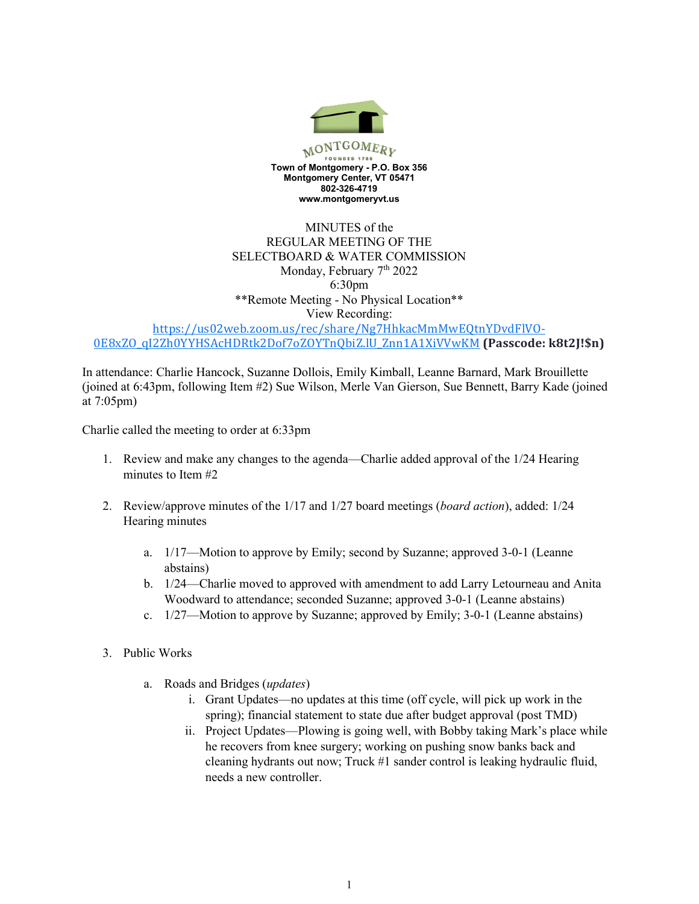

## MINUTES of the REGULAR MEETING OF THE SELECTBOARD & WATER COMMISSION Monday, February 7<sup>th</sup> 2022 6:30pm \*\*Remote Meeting - No Physical Location\*\* View Recording:

https://us02web.zoom.us/rec/share/Ng7HhkacMmMwEQtnYDvdFlVO-0E8xZO\_qI2Zh0YYHSAcHDRtk2Dof7oZOYTnQbiZ.lU\_Znn1A1XiVVwKM **(Passcode: k8t2J!\$n)**

In attendance: Charlie Hancock, Suzanne Dollois, Emily Kimball, Leanne Barnard, Mark Brouillette (joined at 6:43pm, following Item #2) Sue Wilson, Merle Van Gierson, Sue Bennett, Barry Kade (joined at 7:05pm)

Charlie called the meeting to order at 6:33pm

- 1. Review and make any changes to the agenda—Charlie added approval of the 1/24 Hearing minutes to Item #2
- 2. Review/approve minutes of the 1/17 and 1/27 board meetings (*board action*), added: 1/24 Hearing minutes
	- a. 1/17—Motion to approve by Emily; second by Suzanne; approved 3-0-1 (Leanne abstains)
	- b. 1/24—Charlie moved to approved with amendment to add Larry Letourneau and Anita Woodward to attendance; seconded Suzanne; approved 3-0-1 (Leanne abstains)
	- c. 1/27—Motion to approve by Suzanne; approved by Emily; 3-0-1 (Leanne abstains)
- 3. Public Works
	- a. Roads and Bridges (*updates*)
		- i. Grant Updates—no updates at this time (off cycle, will pick up work in the spring); financial statement to state due after budget approval (post TMD)
		- ii. Project Updates—Plowing is going well, with Bobby taking Mark's place while he recovers from knee surgery; working on pushing snow banks back and cleaning hydrants out now; Truck #1 sander control is leaking hydraulic fluid, needs a new controller.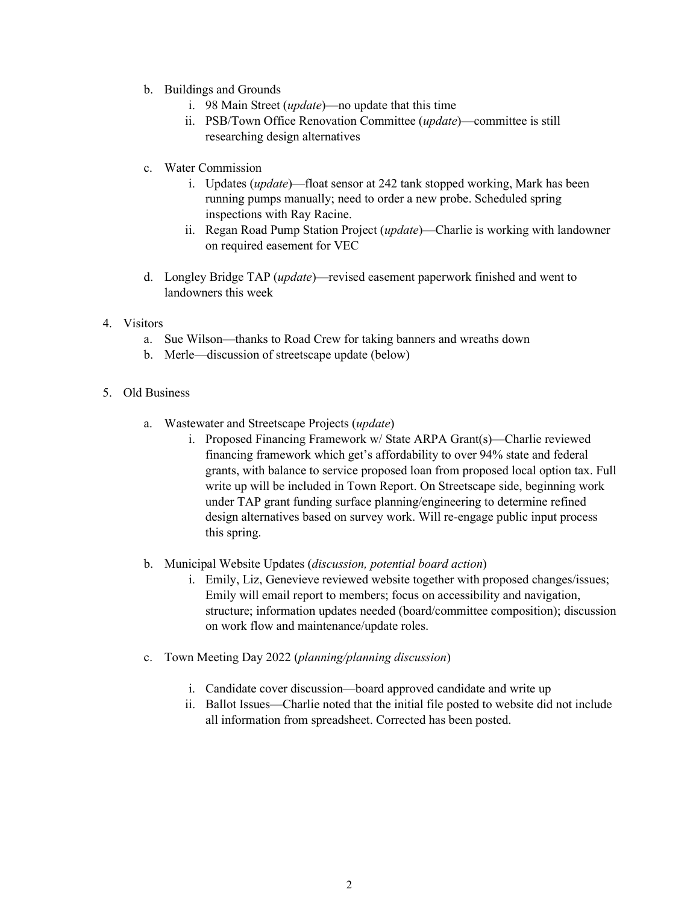- b. Buildings and Grounds
	- i. 98 Main Street (*update*)—no update that this time
	- ii. PSB/Town Office Renovation Committee (*update*)—committee is still researching design alternatives
- c. Water Commission
	- i. Updates (*update*)—float sensor at 242 tank stopped working, Mark has been running pumps manually; need to order a new probe. Scheduled spring inspections with Ray Racine.
	- ii. Regan Road Pump Station Project (*update*)—Charlie is working with landowner on required easement for VEC
- d. Longley Bridge TAP (*update*)—revised easement paperwork finished and went to landowners this week
- 4. Visitors
	- a. Sue Wilson—thanks to Road Crew for taking banners and wreaths down
	- b. Merle—discussion of streetscape update (below)
- 5. Old Business
	- a. Wastewater and Streetscape Projects (*update*)
		- i. Proposed Financing Framework w/ State ARPA Grant(s)—Charlie reviewed financing framework which get's affordability to over 94% state and federal grants, with balance to service proposed loan from proposed local option tax. Full write up will be included in Town Report. On Streetscape side, beginning work under TAP grant funding surface planning/engineering to determine refined design alternatives based on survey work. Will re-engage public input process this spring.
	- b. Municipal Website Updates (*discussion, potential board action*)
		- i. Emily, Liz, Genevieve reviewed website together with proposed changes/issues; Emily will email report to members; focus on accessibility and navigation, structure; information updates needed (board/committee composition); discussion on work flow and maintenance/update roles.
	- c. Town Meeting Day 2022 (*planning/planning discussion*)
		- i. Candidate cover discussion—board approved candidate and write up
		- ii. Ballot Issues—Charlie noted that the initial file posted to website did not include all information from spreadsheet. Corrected has been posted.